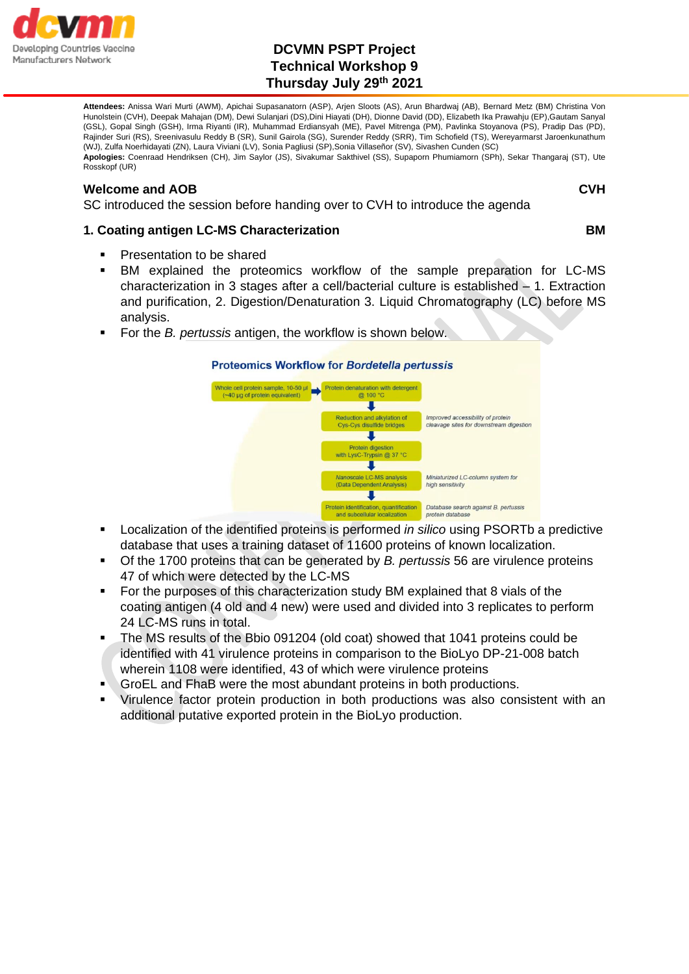

# **DCVMN PSPT Project Technical Workshop 9 Thursday July 29th 2021**

**Attendees:** Anissa Wari Murti (AWM), Apichai Supasanatorn (ASP), Arjen Sloots (AS), Arun Bhardwaj (AB), Bernard Metz (BM) Christina Von Hunolstein (CVH), Deepak Mahajan (DM), Dewi Sulanjari (DS),Dini Hiayati (DH), Dionne David (DD), Elizabeth Ika Prawahju (EP),Gautam Sanyal (GSL), Gopal Singh (GSH), Irma Riyanti (IR), Muhammad Erdiansyah (ME), Pavel Mitrenga (PM), Pavlinka Stoyanova (PS), Pradip Das (PD), Rajinder Suri (RS), Sreenivasulu Reddy B (SR), Sunil Gairola (SG), Surender Reddy (SRR), Tim Schofield (TS), Wereyarmarst Jaroenkunathum (WJ), Zulfa Noerhidayati (ZN), Laura Viviani (LV), Sonia Pagliusi (SP),Sonia Villaseñor (SV), Sivashen Cunden (SC) **Apologies:** Coenraad Hendriksen (CH), Jim Saylor (JS), Sivakumar Sakthivel (SS), Supaporn Phumiamorn (SPh), Sekar Thangaraj (ST), Ute Rosskopf (UR)

#### **Welcome and AOB CVH**

SC introduced the session before handing over to CVH to introduce the agenda

### **1. Coating antigen LC-MS Characterization BM**

- Presentation to be shared
- BM explained the proteomics workflow of the sample preparation for LC-MS characterization in 3 stages after a cell/bacterial culture is established – 1. Extraction and purification, 2. Digestion/Denaturation 3. Liquid Chromatography (LC) before MS analysis.
- For the *B. pertussis* antigen, the workflow is shown below.



- Localization of the identified proteins is performed *in silico* using PSORTb a predictive database that uses a training dataset of 11600 proteins of known localization.
- Of the 1700 proteins that can be generated by *B. pertussis* 56 are virulence proteins 47 of which were detected by the LC-MS
- For the purposes of this characterization study BM explained that 8 vials of the coating antigen (4 old and 4 new) were used and divided into 3 replicates to perform 24 LC-MS runs in total.
- The MS results of the Bbio 091204 (old coat) showed that 1041 proteins could be identified with 41 virulence proteins in comparison to the BioLyo DP-21-008 batch wherein 1108 were identified, 43 of which were virulence proteins
- GroEL and FhaB were the most abundant proteins in both productions.
- Virulence factor protein production in both productions was also consistent with an additional putative exported protein in the BioLyo production.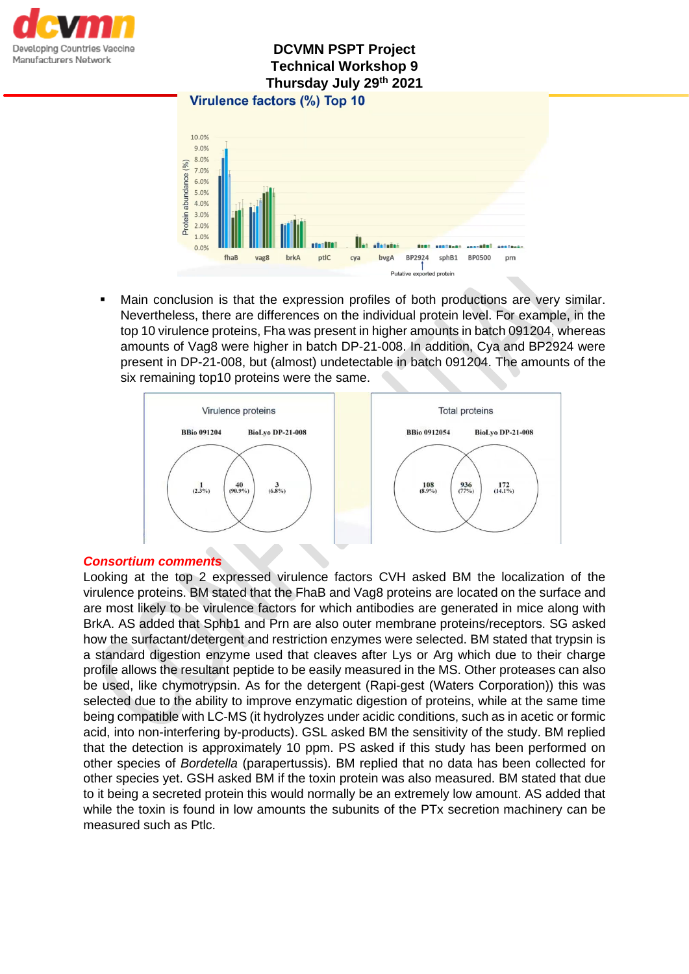

# **DCVMN PSPT Project Technical Workshop 9 Thursday July 29th 2021**



Main conclusion is that the expression profiles of both productions are very similar. Nevertheless, there are differences on the individual protein level. For example, in the top 10 virulence proteins, Fha was present in higher amounts in batch 091204, whereas amounts of Vag8 were higher in batch DP-21-008. In addition, Cya and BP2924 were present in DP-21-008, but (almost) undetectable in batch 091204. The amounts of the six remaining top10 proteins were the same.



## *Consortium comments*

Looking at the top 2 expressed virulence factors CVH asked BM the localization of the virulence proteins. BM stated that the FhaB and Vag8 proteins are located on the surface and are most likely to be virulence factors for which antibodies are generated in mice along with BrkA. AS added that Sphb1 and Prn are also outer membrane proteins/receptors. SG asked how the surfactant/detergent and restriction enzymes were selected. BM stated that trypsin is a standard digestion enzyme used that cleaves after Lys or Arg which due to their charge profile allows the resultant peptide to be easily measured in the MS. Other proteases can also be used, like chymotrypsin. As for the detergent (Rapi-gest (Waters Corporation)) this was selected due to the ability to improve enzymatic digestion of proteins, while at the same time being compatible with LC-MS (it hydrolyzes under acidic conditions, such as in acetic or formic acid, into non-interfering by-products). GSL asked BM the sensitivity of the study. BM replied that the detection is approximately 10 ppm. PS asked if this study has been performed on other species of *Bordetella* (parapertussis). BM replied that no data has been collected for other species yet. GSH asked BM if the toxin protein was also measured. BM stated that due to it being a secreted protein this would normally be an extremely low amount. AS added that while the toxin is found in low amounts the subunits of the PTx secretion machinery can be measured such as Ptlc.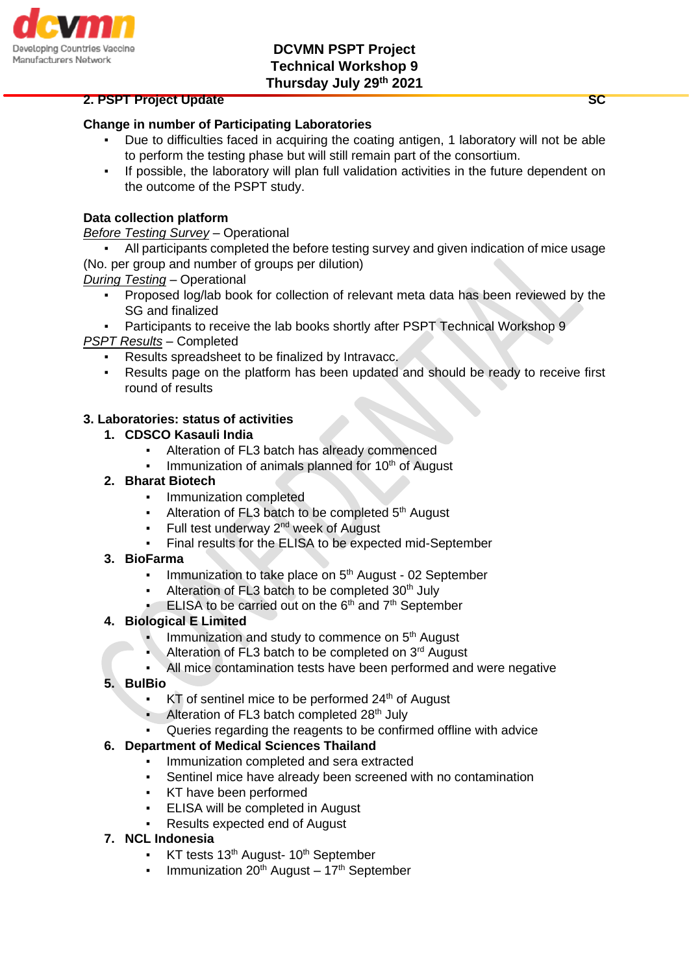

#### **2. PSPT Project Update SC 2. PSPT Project Update**

# **Change in number of Participating Laboratories**

- Due to difficulties faced in acquiring the coating antigen, 1 laboratory will not be able to perform the testing phase but will still remain part of the consortium.
- If possible, the laboratory will plan full validation activities in the future dependent on the outcome of the PSPT study.

### **Data collection platform**

### *Before Testing Survey –* Operational

All participants completed the before testing survey and given indication of mice usage (No. per group and number of groups per dilution)

*During Testing –* Operational

- Proposed log/lab book for collection of relevant meta data has been reviewed by the SG and finalized
- Participants to receive the lab books shortly after PSPT Technical Workshop 9

*PSPT Results –* Completed

- Results spreadsheet to be finalized by Intravacc.
- Results page on the platform has been updated and should be ready to receive first round of results

### **3. Laboratories: status of activities**

#### **1. CDSCO Kasauli India**

- Alteration of FL3 batch has already commenced
- Immunization of animals planned for 10<sup>th</sup> of August

### **2. Bharat Biotech**

- **•** Immunization completed
- Alteration of FL3 batch to be completed 5<sup>th</sup> August
- Full test underway  $2<sup>nd</sup>$  week of August
- Final results for the ELISA to be expected mid-September

#### **3. BioFarma**

- Immunization to take place on 5<sup>th</sup> August 02 September
- Alteration of FL3 batch to be completed  $30<sup>th</sup>$  July
- ELISA to be carried out on the 6<sup>th</sup> and 7<sup>th</sup> September

#### **4. Biological E Limited**

- Immunization and study to commence on 5<sup>th</sup> August
- Alteration of FL3 batch to be completed on  $3<sup>rd</sup>$  August
- All mice contamination tests have been performed and were negative

#### **5. BulBio**

- $KT$  of sentinel mice to be performed  $24<sup>th</sup>$  of August
- Alteration of FL3 batch completed  $28<sup>th</sup>$  July
- Queries regarding the reagents to be confirmed offline with advice

## **6. Department of Medical Sciences Thailand**

- Immunization completed and sera extracted
- Sentinel mice have already been screened with no contamination
- KT have been performed
- **ELISA will be completed in August**
- Results expected end of August
- **7. NCL Indonesia**
	- $KT$  tests 13<sup>th</sup> August- 10<sup>th</sup> September
	- Immunization  $20^{th}$  August  $17^{th}$  September